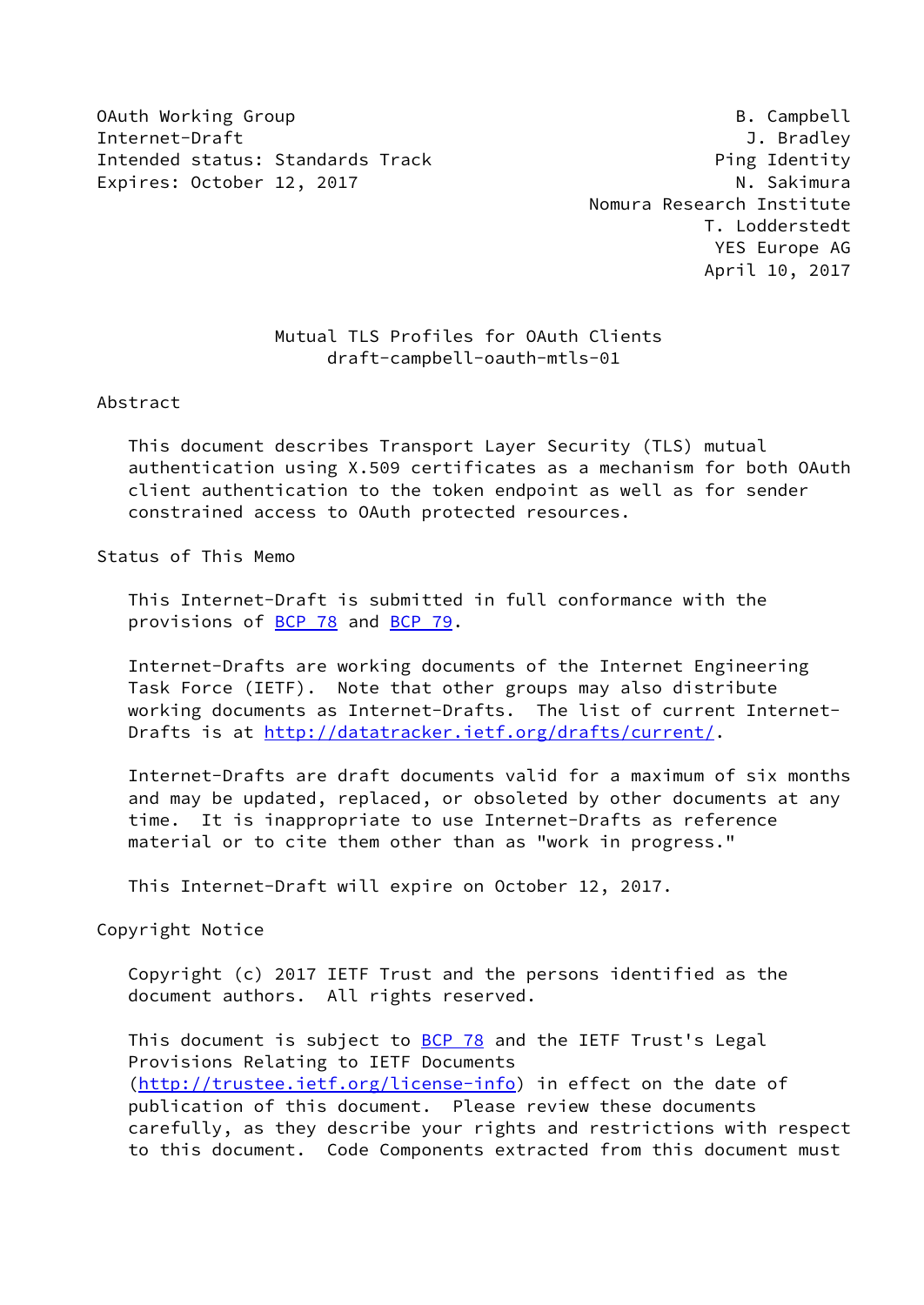OAuth Working Group **B. Campbell** Internet-Draft J. Bradley Intended status: Standards Track example and the Ping Identity Expires: October 12, 2017 M. Sakimura

 Nomura Research Institute T. Lodderstedt YES Europe AG April 10, 2017

# Mutual TLS Profiles for OAuth Clients draft-campbell-oauth-mtls-01

#### Abstract

 This document describes Transport Layer Security (TLS) mutual authentication using X.509 certificates as a mechanism for both OAuth client authentication to the token endpoint as well as for sender constrained access to OAuth protected resources.

#### Status of This Memo

 This Internet-Draft is submitted in full conformance with the provisions of **BCP 78** and **BCP 79**.

 Internet-Drafts are working documents of the Internet Engineering Task Force (IETF). Note that other groups may also distribute working documents as Internet-Drafts. The list of current Internet Drafts is at<http://datatracker.ietf.org/drafts/current/>.

 Internet-Drafts are draft documents valid for a maximum of six months and may be updated, replaced, or obsoleted by other documents at any time. It is inappropriate to use Internet-Drafts as reference material or to cite them other than as "work in progress."

This Internet-Draft will expire on October 12, 2017.

Copyright Notice

 Copyright (c) 2017 IETF Trust and the persons identified as the document authors. All rights reserved.

This document is subject to **[BCP 78](https://datatracker.ietf.org/doc/pdf/bcp78)** and the IETF Trust's Legal Provisions Relating to IETF Documents [\(http://trustee.ietf.org/license-info](http://trustee.ietf.org/license-info)) in effect on the date of publication of this document. Please review these documents carefully, as they describe your rights and restrictions with respect to this document. Code Components extracted from this document must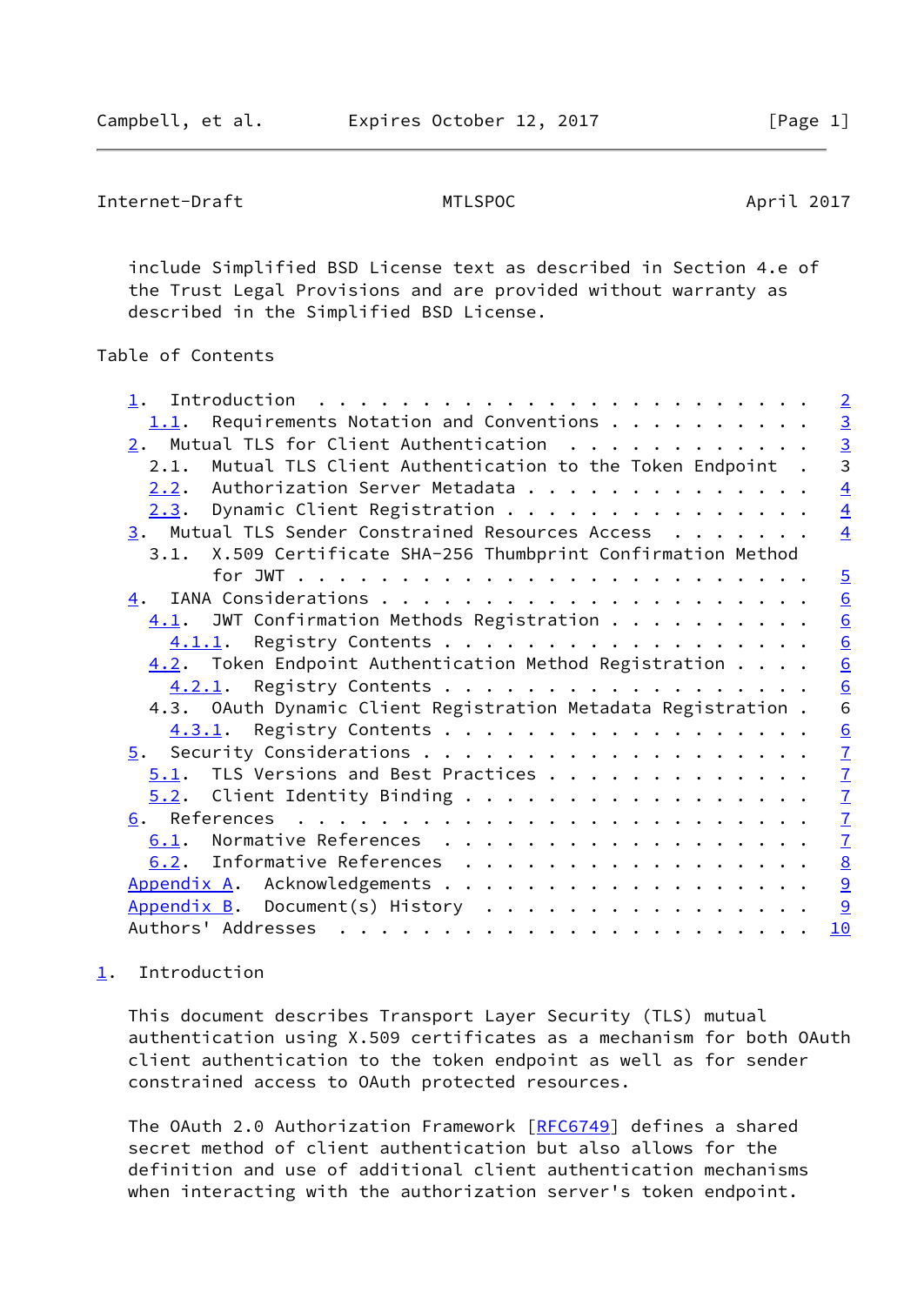Campbell, et al. Expires October 12, 2017 [Page 1]

```
Internet-Draft MTLSPOC April 2017
```
 include Simplified BSD License text as described in Section 4.e of the Trust Legal Provisions and are provided without warranty as described in the Simplified BSD License.

# Table of Contents

|                                                                 | $\overline{2}$            |
|-----------------------------------------------------------------|---------------------------|
| Requirements Notation and Conventions<br>1.1.                   |                           |
| $2.$ Mutual TLS for Client Authentication                       | $\frac{3}{3}$             |
| Mutual TLS Client Authentication to the Token Endpoint.<br>2.1. |                           |
| Authorization Server Metadata<br>2.2.                           | $\overline{4}$            |
| Dynamic Client Registration<br>2.3.                             | $\overline{4}$            |
| 3. Mutual TLS Sender Constrained Resources Access               | $\overline{4}$            |
| 3.1. X.509 Certificate SHA-256 Thumbprint Confirmation Method   |                           |
|                                                                 | $\overline{5}$            |
| 4.                                                              | $\underline{6}$           |
| $\underline{4.1}$ . JWT Confirmation Methods Registration       | $\underline{6}$           |
| Registry Contents<br>4.1.1.                                     | 6                         |
| $4.2$ . Token Endpoint Authentication Method Registration       | $\underline{6}$           |
| Registry Contents<br>4.2.1.                                     | $\underline{6}$           |
| 4.3. OAuth Dynamic Client Registration Metadata Registration.   | 6                         |
| Registry Contents<br>4.3.1.                                     | 6                         |
|                                                                 | $\underline{\mathcal{I}}$ |
| TLS Versions and Best Practices<br>5.1.                         | $\underline{\mathcal{I}}$ |
| $5.2$ . Client Identity Binding                                 | $\overline{1}$            |
|                                                                 | $\underline{\mathcal{I}}$ |
| Normative References<br>6.1.                                    | $\underline{\mathcal{I}}$ |
| 6.2. Informative References                                     | $\underline{8}$           |
|                                                                 | 9                         |
| Appendix B. Document(s) History                                 | 9                         |
|                                                                 | 10                        |
|                                                                 |                           |

# <span id="page-1-0"></span>[1](#page-1-0). Introduction

 This document describes Transport Layer Security (TLS) mutual authentication using X.509 certificates as a mechanism for both OAuth client authentication to the token endpoint as well as for sender constrained access to OAuth protected resources.

The OAuth 2.0 Authorization Framework [[RFC6749](https://datatracker.ietf.org/doc/pdf/rfc6749)] defines a shared secret method of client authentication but also allows for the definition and use of additional client authentication mechanisms when interacting with the authorization server's token endpoint.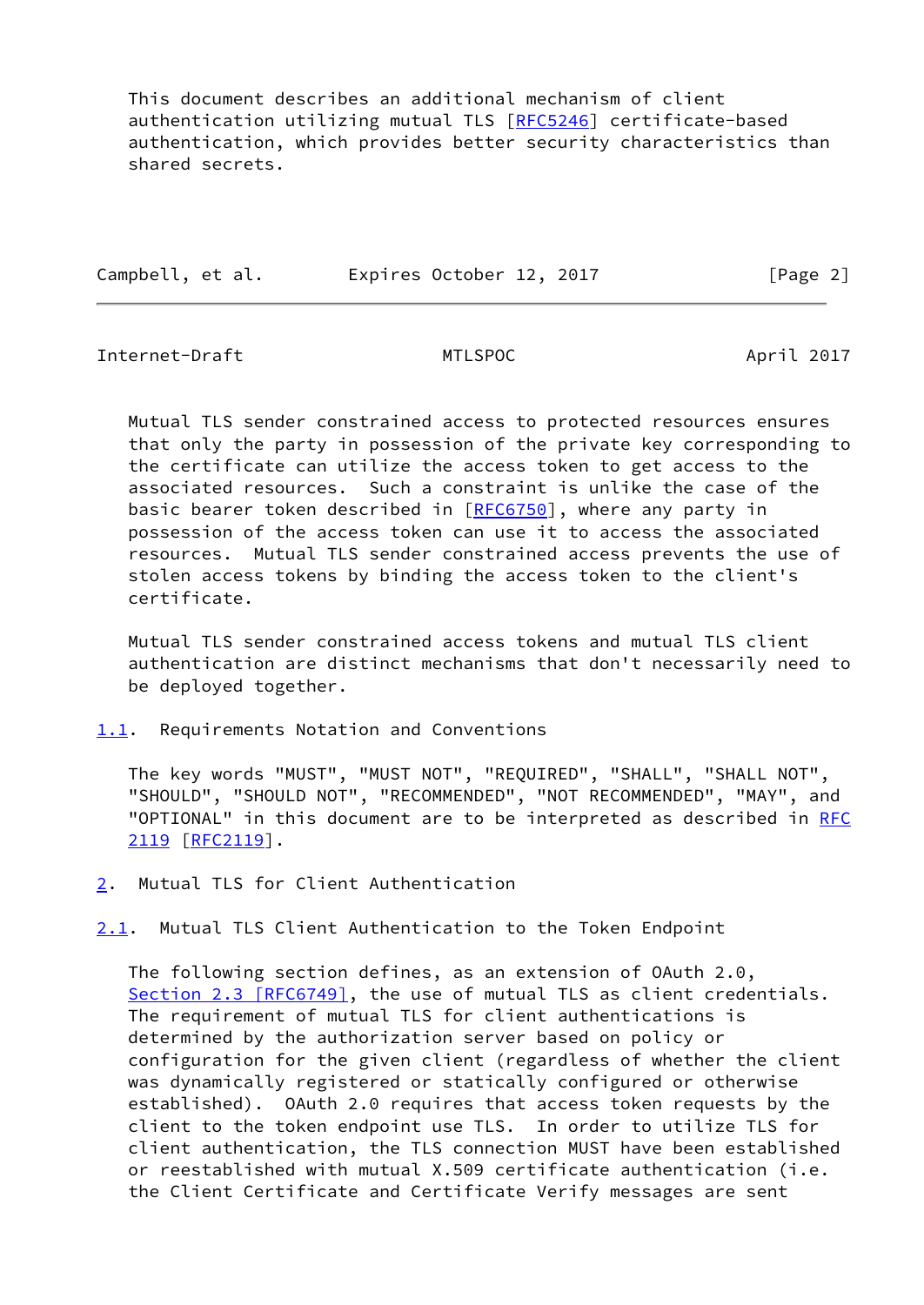This document describes an additional mechanism of client authentication utilizing mutual TLS [\[RFC5246](https://datatracker.ietf.org/doc/pdf/rfc5246)] certificate-based authentication, which provides better security characteristics than shared secrets.

| Campbell, et al. | Expires October 12, 2017 | [Page 2] |
|------------------|--------------------------|----------|
|                  |                          |          |

<span id="page-2-1"></span>Internet-Draft MTLSPOC April 2017

 Mutual TLS sender constrained access to protected resources ensures that only the party in possession of the private key corresponding to the certificate can utilize the access token to get access to the associated resources. Such a constraint is unlike the case of the basic bearer token described in [\[RFC6750](https://datatracker.ietf.org/doc/pdf/rfc6750)], where any party in possession of the access token can use it to access the associated resources. Mutual TLS sender constrained access prevents the use of stolen access tokens by binding the access token to the client's certificate.

 Mutual TLS sender constrained access tokens and mutual TLS client authentication are distinct mechanisms that don't necessarily need to be deployed together.

<span id="page-2-0"></span>[1.1](#page-2-0). Requirements Notation and Conventions

 The key words "MUST", "MUST NOT", "REQUIRED", "SHALL", "SHALL NOT", "SHOULD", "SHOULD NOT", "RECOMMENDED", "NOT RECOMMENDED", "MAY", and "OPTIONAL" in this document are to be interpreted as described in [RFC](https://datatracker.ietf.org/doc/pdf/rfc2119) [2119](https://datatracker.ietf.org/doc/pdf/rfc2119) [\[RFC2119](https://datatracker.ietf.org/doc/pdf/rfc2119)].

<span id="page-2-2"></span>[2](#page-2-2). Mutual TLS for Client Authentication

<span id="page-2-3"></span>[2.1](#page-2-3). Mutual TLS Client Authentication to the Token Endpoint

 The following section defines, as an extension of OAuth 2.0, Section [2.3 \[RFC6749\]](https://datatracker.ietf.org/doc/pdf/rfc6749#section-2.3), the use of mutual TLS as client credentials. The requirement of mutual TLS for client authentications is determined by the authorization server based on policy or configuration for the given client (regardless of whether the client was dynamically registered or statically configured or otherwise established). OAuth 2.0 requires that access token requests by the client to the token endpoint use TLS. In order to utilize TLS for client authentication, the TLS connection MUST have been established or reestablished with mutual X.509 certificate authentication (i.e. the Client Certificate and Certificate Verify messages are sent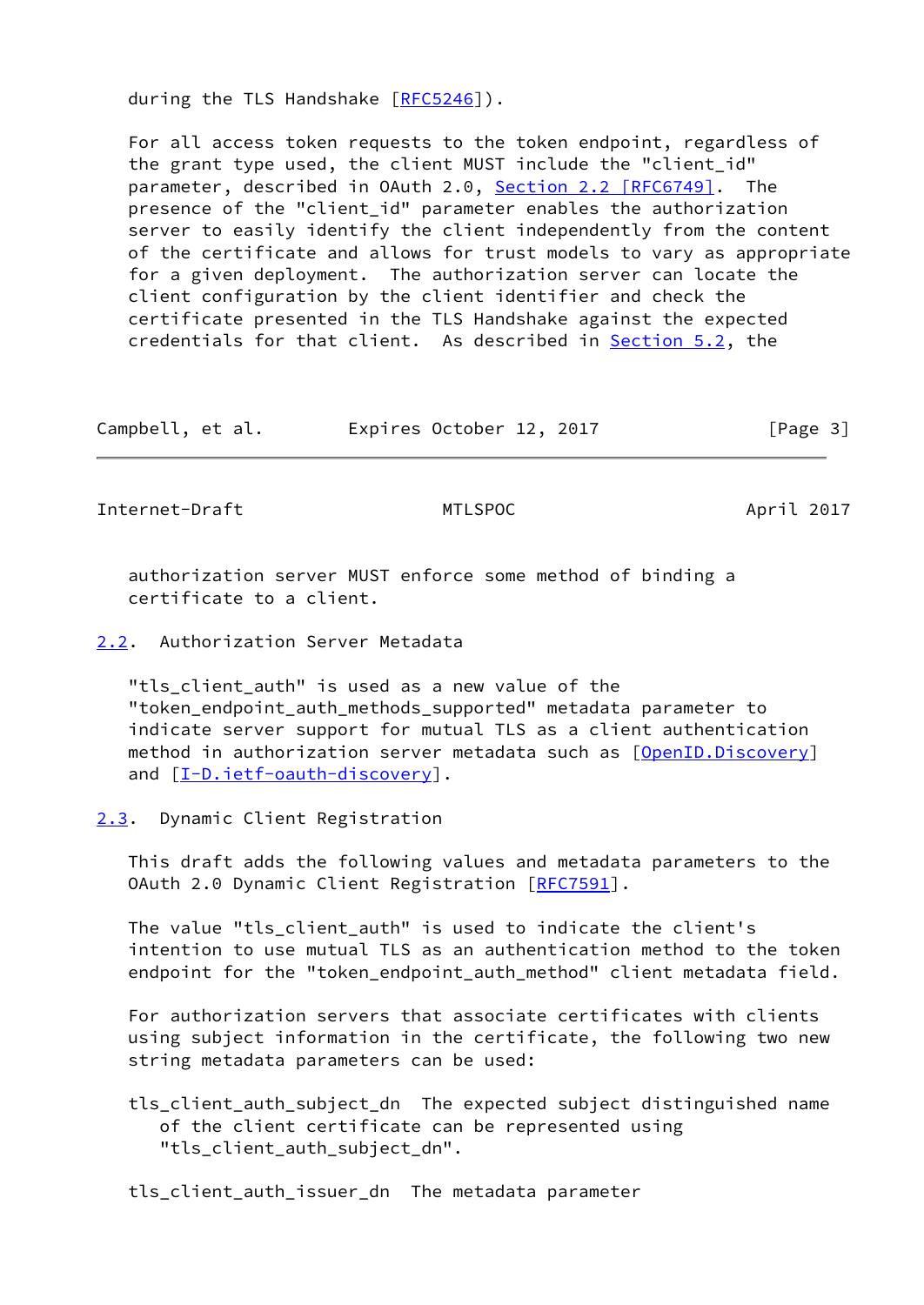during the TLS Handshake [\[RFC5246](https://datatracker.ietf.org/doc/pdf/rfc5246)]).

 For all access token requests to the token endpoint, regardless of the grant type used, the client MUST include the "client\_id" parameter, described in OAuth 2.0, Section [2.2 \[RFC6749\].](https://datatracker.ietf.org/doc/pdf/rfc6749#section-2.2) The presence of the "client\_id" parameter enables the authorization server to easily identify the client independently from the content of the certificate and allows for trust models to vary as appropriate for a given deployment. The authorization server can locate the client configuration by the client identifier and check the certificate presented in the TLS Handshake against the expected credentials for that client. As described in **Section 5.2**, the

Campbell, et al. Expires October 12, 2017 [Page 3]

<span id="page-3-1"></span>Internet-Draft MTLSPOC April 2017

 authorization server MUST enforce some method of binding a certificate to a client.

<span id="page-3-0"></span>[2.2](#page-3-0). Authorization Server Metadata

"tls client auth" is used as a new value of the "token\_endpoint\_auth\_methods\_supported" metadata parameter to indicate server support for mutual TLS as a client authentication method in authorization server metadata such as [\[OpenID.Discovery](#page-8-1)] and  $[I-D.ietf-auth-discovery]$ .

<span id="page-3-2"></span>[2.3](#page-3-2). Dynamic Client Registration

 This draft adds the following values and metadata parameters to the OAuth 2.0 Dynamic Client Registration [[RFC7591](https://datatracker.ietf.org/doc/pdf/rfc7591)].

 The value "tls\_client\_auth" is used to indicate the client's intention to use mutual TLS as an authentication method to the token endpoint for the "token\_endpoint\_auth\_method" client metadata field.

 For authorization servers that associate certificates with clients using subject information in the certificate, the following two new string metadata parameters can be used:

 tls\_client\_auth\_subject\_dn The expected subject distinguished name of the client certificate can be represented using "tls client auth subject dn".

tls\_client\_auth\_issuer\_dn The metadata parameter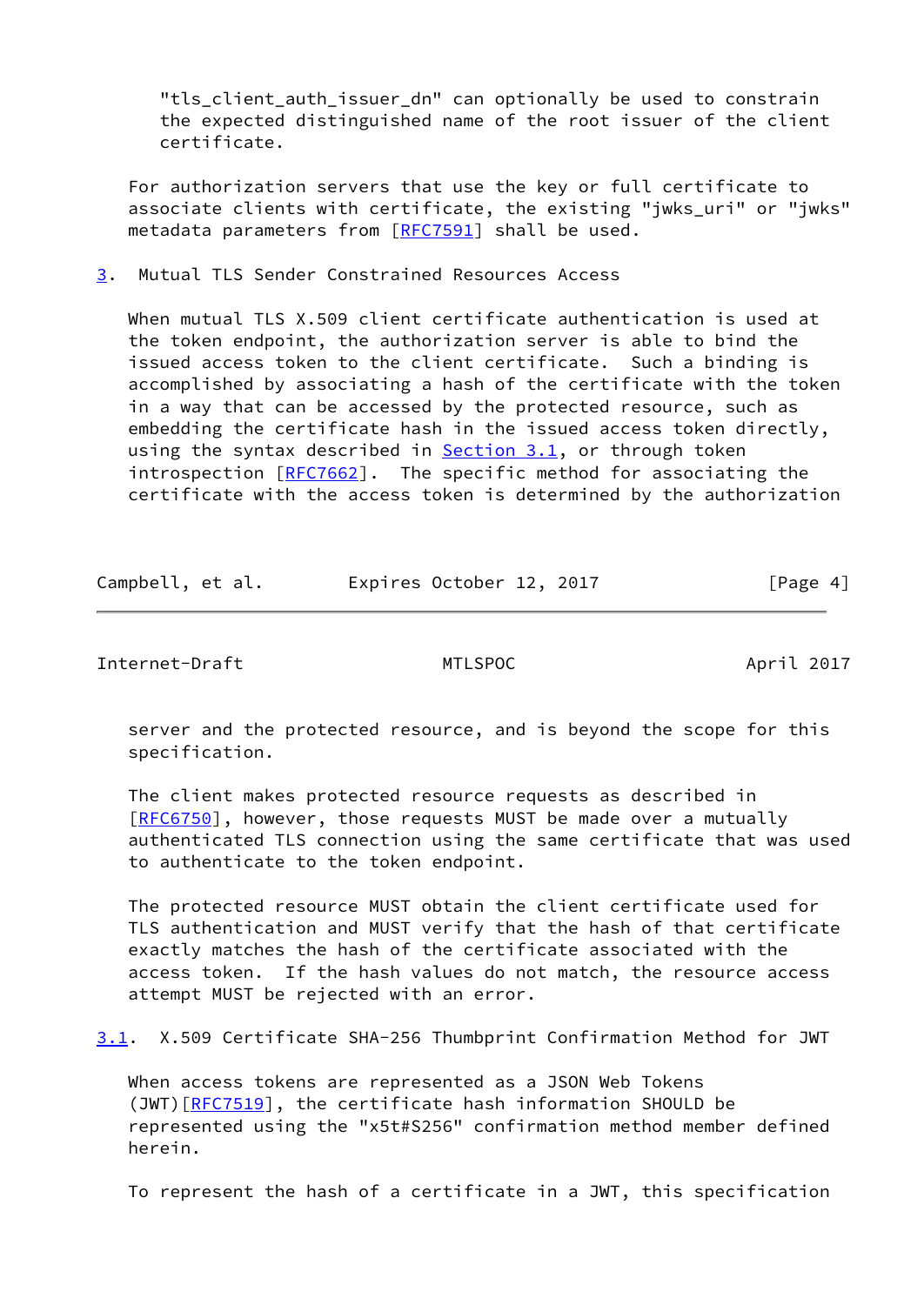"tls client auth issuer dn" can optionally be used to constrain the expected distinguished name of the root issuer of the client certificate.

 For authorization servers that use the key or full certificate to associate clients with certificate, the existing "jwks\_uri" or "jwks" metadata parameters from [\[RFC7591](https://datatracker.ietf.org/doc/pdf/rfc7591)] shall be used.

<span id="page-4-0"></span>[3](#page-4-0). Mutual TLS Sender Constrained Resources Access

 When mutual TLS X.509 client certificate authentication is used at the token endpoint, the authorization server is able to bind the issued access token to the client certificate. Such a binding is accomplished by associating a hash of the certificate with the token in a way that can be accessed by the protected resource, such as embedding the certificate hash in the issued access token directly, using the syntax described in  $Section 3.1$ , or through token introspection [[RFC7662](https://datatracker.ietf.org/doc/pdf/rfc7662)]. The specific method for associating the certificate with the access token is determined by the authorization

| Campbell, et al. | Expires October 12, 2017 |  | [Page 4] |
|------------------|--------------------------|--|----------|
|------------------|--------------------------|--|----------|

<span id="page-4-1"></span>Internet-Draft MTLSPOC April 2017

 server and the protected resource, and is beyond the scope for this specification.

 The client makes protected resource requests as described in [\[RFC6750](https://datatracker.ietf.org/doc/pdf/rfc6750)], however, those requests MUST be made over a mutually authenticated TLS connection using the same certificate that was used to authenticate to the token endpoint.

 The protected resource MUST obtain the client certificate used for TLS authentication and MUST verify that the hash of that certificate exactly matches the hash of the certificate associated with the access token. If the hash values do not match, the resource access attempt MUST be rejected with an error.

<span id="page-4-2"></span>[3.1](#page-4-2). X.509 Certificate SHA-256 Thumbprint Confirmation Method for JWT

 When access tokens are represented as a JSON Web Tokens (JWT)[\[RFC7519](https://datatracker.ietf.org/doc/pdf/rfc7519)], the certificate hash information SHOULD be represented using the "x5t#S256" confirmation method member defined herein.

To represent the hash of a certificate in a JWT, this specification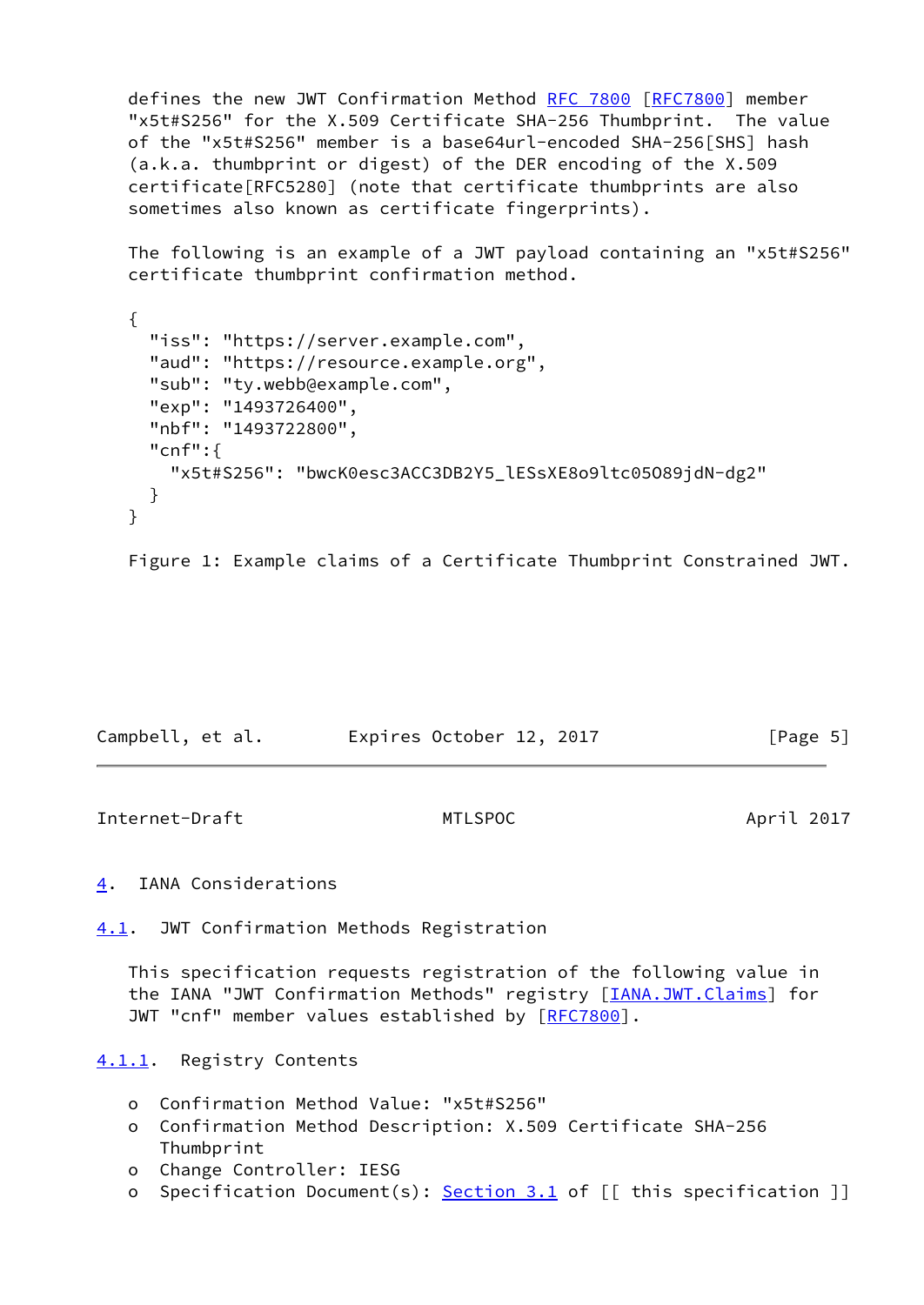defines the new JWT Confirmation Method [RFC 7800](https://datatracker.ietf.org/doc/pdf/rfc7800) [\[RFC7800](https://datatracker.ietf.org/doc/pdf/rfc7800)] member "x5t#S256" for the X.509 Certificate SHA-256 Thumbprint. The value of the "x5t#S256" member is a base64url-encoded SHA-256[SHS] hash (a.k.a. thumbprint or digest) of the DER encoding of the X.509 certificate[RFC5280] (note that certificate thumbprints are also sometimes also known as certificate fingerprints).

 The following is an example of a JWT payload containing an "x5t#S256" certificate thumbprint confirmation method.

```
 {
   "iss": "https://server.example.com",
   "aud": "https://resource.example.org",
   "sub": "ty.webb@example.com",
   "exp": "1493726400",
   "nbf": "1493722800",
   "cnf":{
     "x5t#S256": "bwcK0esc3ACC3DB2Y5_lESsXE8o9ltc05O89jdN-dg2"
   }
 }
```
Figure 1: Example claims of a Certificate Thumbprint Constrained JWT.

| Campbell, et al. | Expires October 12, 2017 | [Page 5] |
|------------------|--------------------------|----------|
|------------------|--------------------------|----------|

<span id="page-5-1"></span>Internet-Draft MTLSPOC April 2017

<span id="page-5-0"></span>[4](#page-5-0). IANA Considerations

<span id="page-5-2"></span>[4.1](#page-5-2). JWT Confirmation Methods Registration

 This specification requests registration of the following value in the IANA "JWT Confirmation Methods" registry [*IANA.JWT.Claims*] for JWT "cnf" member values established by [\[RFC7800](https://datatracker.ietf.org/doc/pdf/rfc7800)].

<span id="page-5-3"></span>[4.1.1](#page-5-3). Registry Contents

- o Confirmation Method Value: "x5t#S256"
- o Confirmation Method Description: X.509 Certificate SHA-256 Thumbprint
- o Change Controller: IESG
- o Specification Document(s): [Section 3.1](#page-4-2) of [[ this specification ]]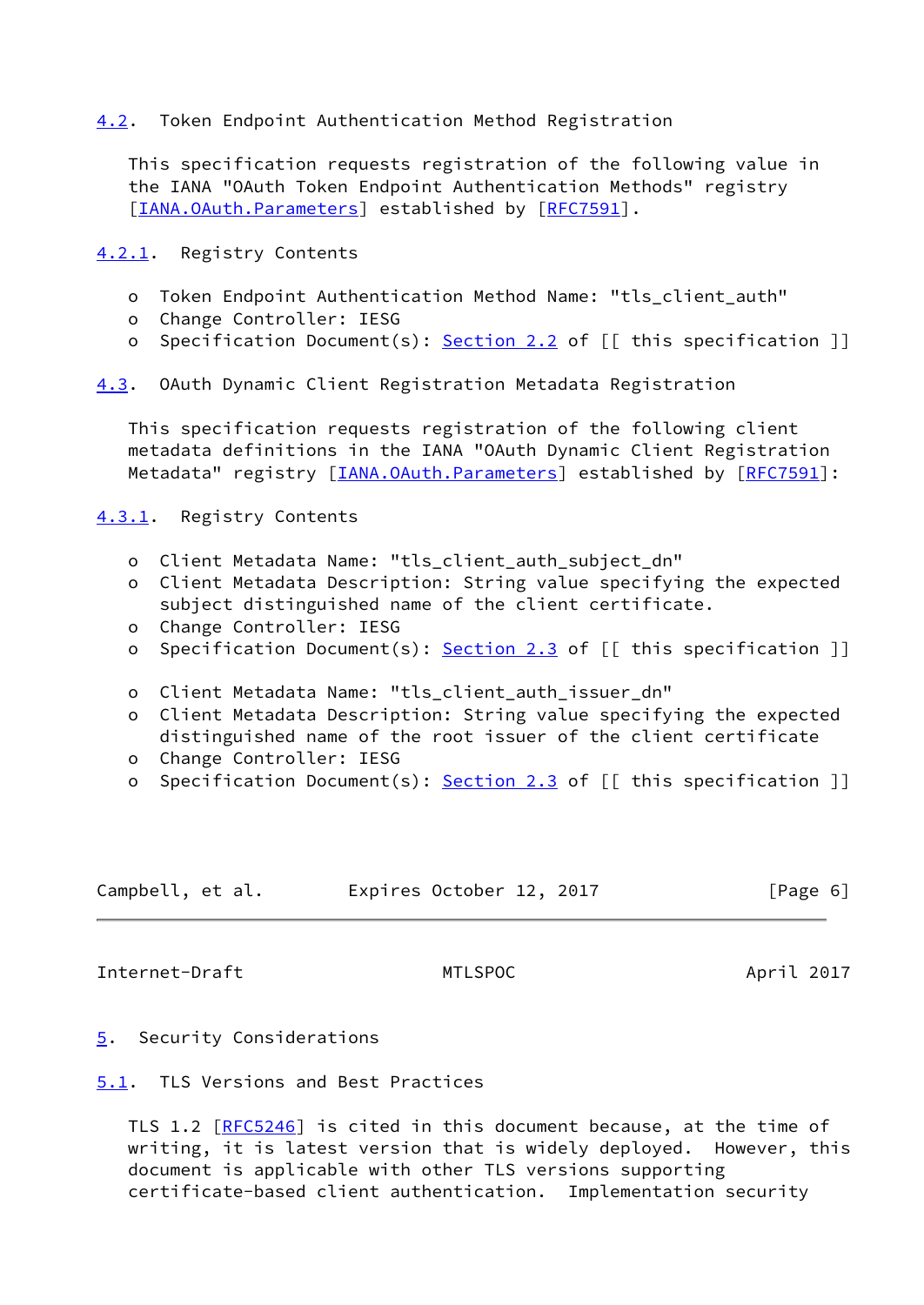# <span id="page-6-0"></span>[4.2](#page-6-0). Token Endpoint Authentication Method Registration

 This specification requests registration of the following value in the IANA "OAuth Token Endpoint Authentication Methods" registry [\[IANA.OAuth.Parameters](#page-8-4)] established by [\[RFC7591](https://datatracker.ietf.org/doc/pdf/rfc7591)].

<span id="page-6-1"></span>[4.2.1](#page-6-1). Registry Contents

- o Token Endpoint Authentication Method Name: "tls\_client\_auth"
- o Change Controller: IESG
- o Specification Document(s): [Section 2.2](#page-3-0) of [[ this specification ]]

<span id="page-6-6"></span>[4.3](#page-6-6). OAuth Dynamic Client Registration Metadata Registration

 This specification requests registration of the following client metadata definitions in the IANA "OAuth Dynamic Client Registration Metadata" registry [[IANA.OAuth.Parameters\]](#page-8-4) established by [[RFC7591](https://datatracker.ietf.org/doc/pdf/rfc7591)]:

<span id="page-6-2"></span>[4.3.1](#page-6-2). Registry Contents

- o Client Metadata Name: "tls\_client\_auth\_subject\_dn"
- o Client Metadata Description: String value specifying the expected subject distinguished name of the client certificate.
- o Change Controller: IESG
- o Specification Document(s): [Section 2.3](#page-3-2) of [[ this specification ]]
- o Client Metadata Name: "tls\_client\_auth\_issuer\_dn"
- o Client Metadata Description: String value specifying the expected distinguished name of the root issuer of the client certificate
- o Change Controller: IESG
- o Specification Document(s): [Section 2.3](#page-3-2) of [[ this specification ]]

| Campbell, et al. | Expires October 12, 2017 | [Page 6] |
|------------------|--------------------------|----------|
|------------------|--------------------------|----------|

<span id="page-6-4"></span>Internet-Draft MTLSPOC April 2017

- <span id="page-6-3"></span>[5](#page-6-3). Security Considerations
- <span id="page-6-5"></span>[5.1](#page-6-5). TLS Versions and Best Practices

TLS 1.2 [\[RFC5246](https://datatracker.ietf.org/doc/pdf/rfc5246)] is cited in this document because, at the time of writing, it is latest version that is widely deployed. However, this document is applicable with other TLS versions supporting certificate-based client authentication. Implementation security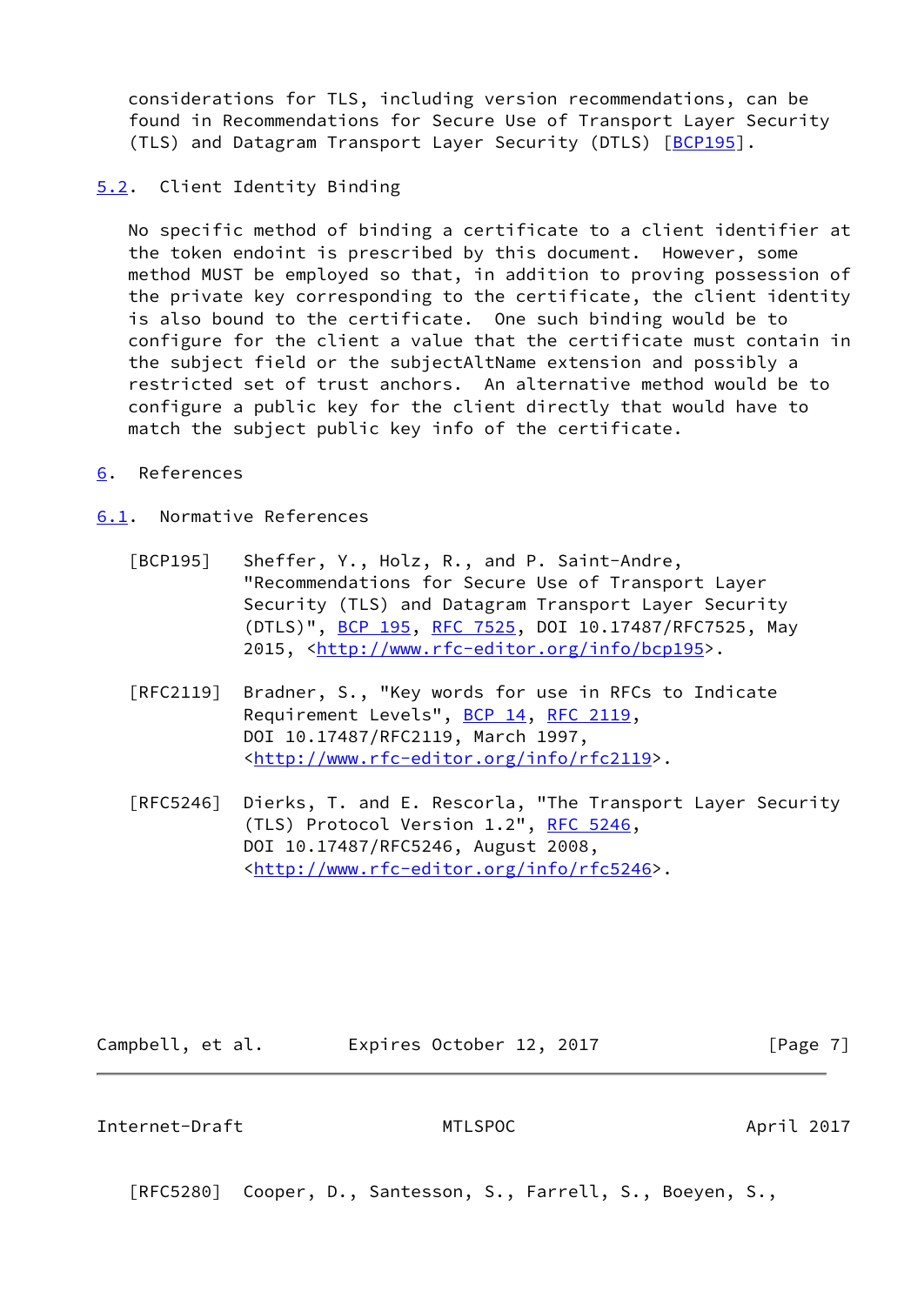considerations for TLS, including version recommendations, can be found in Recommendations for Secure Use of Transport Layer Security (TLS) and Datagram Transport Layer Security (DTLS) [[BCP195](#page-7-4)].

## <span id="page-7-0"></span>[5.2](#page-7-0). Client Identity Binding

 No specific method of binding a certificate to a client identifier at the token endoint is prescribed by this document. However, some method MUST be employed so that, in addition to proving possession of the private key corresponding to the certificate, the client identity is also bound to the certificate. One such binding would be to configure for the client a value that the certificate must contain in the subject field or the subjectAltName extension and possibly a restricted set of trust anchors. An alternative method would be to configure a public key for the client directly that would have to match the subject public key info of the certificate.

<span id="page-7-1"></span>[6](#page-7-1). References

<span id="page-7-2"></span>[6.1](#page-7-2). Normative References

- <span id="page-7-4"></span> [BCP195] Sheffer, Y., Holz, R., and P. Saint-Andre, "Recommendations for Secure Use of Transport Layer Security (TLS) and Datagram Transport Layer Security (DTLS)", [BCP 195,](https://datatracker.ietf.org/doc/pdf/bcp195) [RFC 7525](https://datatracker.ietf.org/doc/pdf/rfc7525), DOI 10.17487/RFC7525, May 2015, [<http://www.rfc-editor.org/info/bcp195>](http://www.rfc-editor.org/info/bcp195).
- [RFC2119] Bradner, S., "Key words for use in RFCs to Indicate Requirement Levels", [BCP 14](https://datatracker.ietf.org/doc/pdf/bcp14), [RFC 2119](https://datatracker.ietf.org/doc/pdf/rfc2119), DOI 10.17487/RFC2119, March 1997, <<http://www.rfc-editor.org/info/rfc2119>>.
- [RFC5246] Dierks, T. and E. Rescorla, "The Transport Layer Security (TLS) Protocol Version 1.2", [RFC 5246](https://datatracker.ietf.org/doc/pdf/rfc5246), DOI 10.17487/RFC5246, August 2008, <<http://www.rfc-editor.org/info/rfc5246>>.

Campbell, et al. Expires October 12, 2017 [Page 7]

<span id="page-7-3"></span>Internet-Draft MTLSPOC April 2017

[RFC5280] Cooper, D., Santesson, S., Farrell, S., Boeyen, S.,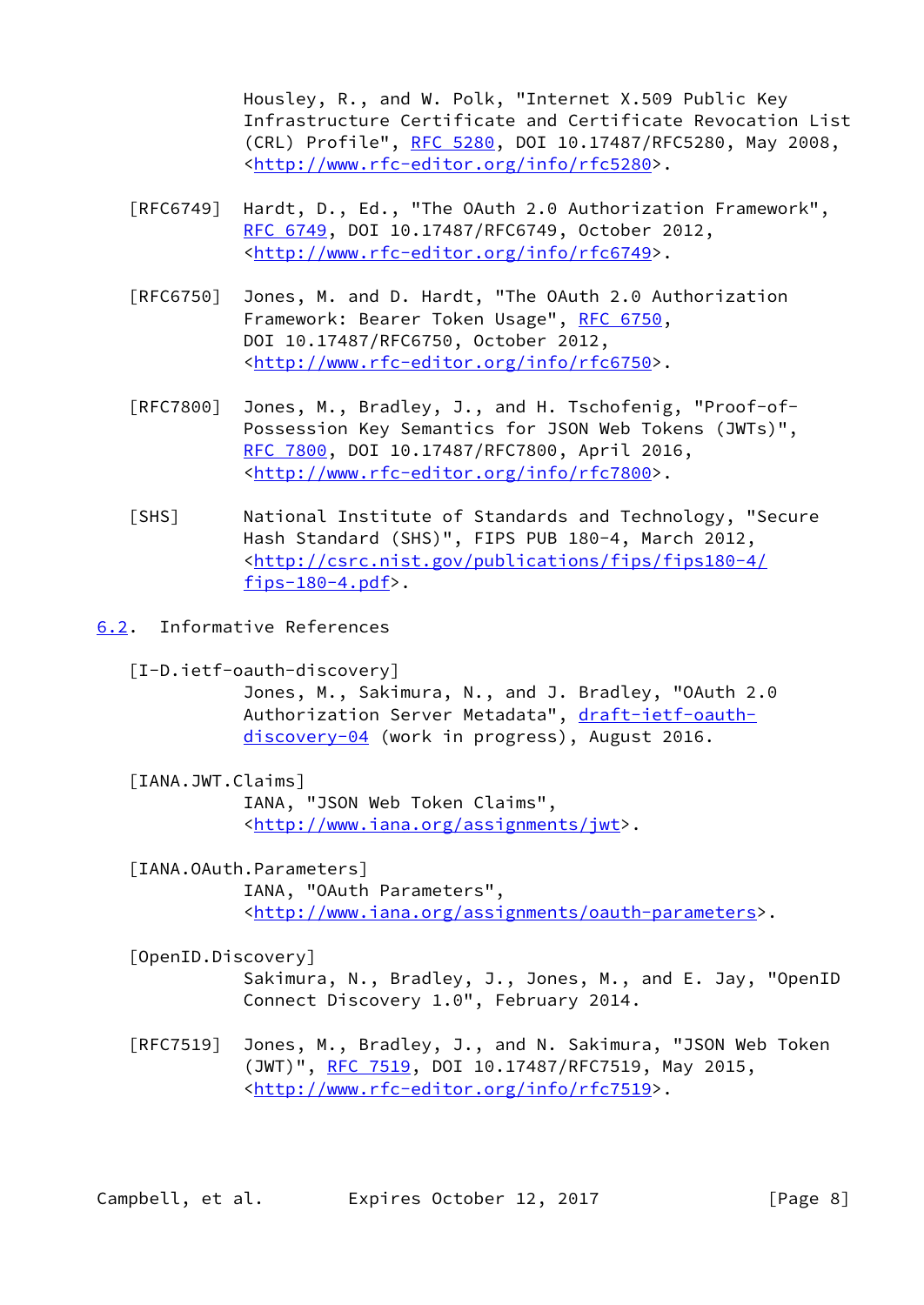Housley, R., and W. Polk, "Internet X.509 Public Key Infrastructure Certificate and Certificate Revocation List (CRL) Profile", [RFC 5280,](https://datatracker.ietf.org/doc/pdf/rfc5280) DOI 10.17487/RFC5280, May 2008, <<http://www.rfc-editor.org/info/rfc5280>>.

- [RFC6749] Hardt, D., Ed., "The OAuth 2.0 Authorization Framework", [RFC 6749,](https://datatracker.ietf.org/doc/pdf/rfc6749) DOI 10.17487/RFC6749, October 2012, <<http://www.rfc-editor.org/info/rfc6749>>.
- [RFC6750] Jones, M. and D. Hardt, "The OAuth 2.0 Authorization Framework: Bearer Token Usage", [RFC 6750,](https://datatracker.ietf.org/doc/pdf/rfc6750) DOI 10.17487/RFC6750, October 2012, <<http://www.rfc-editor.org/info/rfc6750>>.
- [RFC7800] Jones, M., Bradley, J., and H. Tschofenig, "Proof-of- Possession Key Semantics for JSON Web Tokens (JWTs)", [RFC 7800,](https://datatracker.ietf.org/doc/pdf/rfc7800) DOI 10.17487/RFC7800, April 2016, <<http://www.rfc-editor.org/info/rfc7800>>.
- [SHS] National Institute of Standards and Technology, "Secure Hash Standard (SHS)", FIPS PUB 180-4, March 2012, <[http://csrc.nist.gov/publications/fips/fips180-4/](http://csrc.nist.gov/publications/fips/fips180-4/fips-180-4.pdf) fips- $180-4.pdf$ .
- <span id="page-8-2"></span><span id="page-8-0"></span>[6.2](#page-8-0). Informative References
	- [I-D.ietf-oauth-discovery]

 Jones, M., Sakimura, N., and J. Bradley, "OAuth 2.0 Authorization Server Metadata", [draft-ietf-oauth](https://datatracker.ietf.org/doc/pdf/draft-ietf-oauth-discovery-04) [discovery-04](https://datatracker.ietf.org/doc/pdf/draft-ietf-oauth-discovery-04) (work in progress), August 2016.

<span id="page-8-3"></span>[IANA.JWT.Claims]

 IANA, "JSON Web Token Claims", <[http://www.iana.org/assignments/jwt>](http://www.iana.org/assignments/jwt).

- <span id="page-8-4"></span> [IANA.OAuth.Parameters] IANA, "OAuth Parameters", <[http://www.iana.org/assignments/oauth-parameters>](http://www.iana.org/assignments/oauth-parameters).
- <span id="page-8-1"></span>[OpenID.Discovery]

 Sakimura, N., Bradley, J., Jones, M., and E. Jay, "OpenID Connect Discovery 1.0", February 2014.

 [RFC7519] Jones, M., Bradley, J., and N. Sakimura, "JSON Web Token (JWT)", [RFC 7519,](https://datatracker.ietf.org/doc/pdf/rfc7519) DOI 10.17487/RFC7519, May 2015, <<http://www.rfc-editor.org/info/rfc7519>>.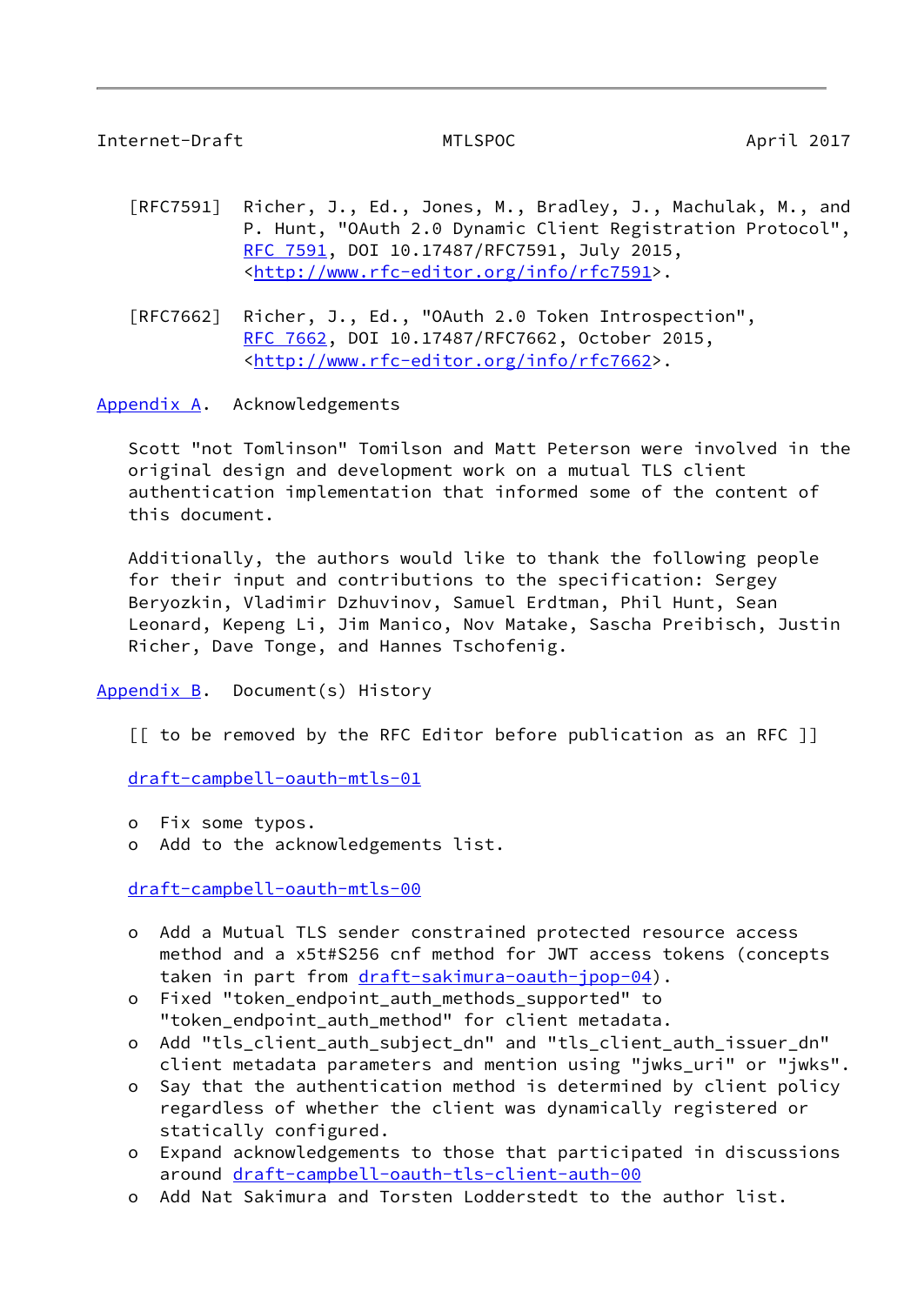<span id="page-9-1"></span>Internet-Draft MTLSPOC April 2017

- [RFC7591] Richer, J., Ed., Jones, M., Bradley, J., Machulak, M., and P. Hunt, "OAuth 2.0 Dynamic Client Registration Protocol", [RFC 7591,](https://datatracker.ietf.org/doc/pdf/rfc7591) DOI 10.17487/RFC7591, July 2015, <<http://www.rfc-editor.org/info/rfc7591>>.
- [RFC7662] Richer, J., Ed., "OAuth 2.0 Token Introspection", [RFC 7662,](https://datatracker.ietf.org/doc/pdf/rfc7662) DOI 10.17487/RFC7662, October 2015, <<http://www.rfc-editor.org/info/rfc7662>>.

<span id="page-9-0"></span>[Appendix A.](#page-9-0) Acknowledgements

 Scott "not Tomlinson" Tomilson and Matt Peterson were involved in the original design and development work on a mutual TLS client authentication implementation that informed some of the content of this document.

 Additionally, the authors would like to thank the following people for their input and contributions to the specification: Sergey Beryozkin, Vladimir Dzhuvinov, Samuel Erdtman, Phil Hunt, Sean Leonard, Kepeng Li, Jim Manico, Nov Matake, Sascha Preibisch, Justin Richer, Dave Tonge, and Hannes Tschofenig.

## <span id="page-9-2"></span>Appendix  $B$ . Document(s) History

[[ to be removed by the RFC Editor before publication as an RFC ]]

[draft-campbell-oauth-mtls-01](https://datatracker.ietf.org/doc/pdf/draft-campbell-oauth-mtls-01)

- o Fix some typos.
- o Add to the acknowledgements list.

[draft-campbell-oauth-mtls-00](https://datatracker.ietf.org/doc/pdf/draft-campbell-oauth-mtls-00)

- o Add a Mutual TLS sender constrained protected resource access method and a x5t#S256 cnf method for JWT access tokens (concepts taken in part from [draft-sakimura-oauth-jpop-04](https://datatracker.ietf.org/doc/pdf/draft-sakimura-oauth-jpop-04)).
- o Fixed "token\_endpoint\_auth\_methods\_supported" to "token\_endpoint\_auth\_method" for client metadata.
- o Add "tls\_client\_auth\_subject\_dn" and "tls\_client\_auth\_issuer\_dn" client metadata parameters and mention using "jwks uri" or "jwks".
- o Say that the authentication method is determined by client policy regardless of whether the client was dynamically registered or statically configured.
- o Expand acknowledgements to those that participated in discussions around [draft-campbell-oauth-tls-client-auth-00](https://datatracker.ietf.org/doc/pdf/draft-campbell-oauth-tls-client-auth-00)
- o Add Nat Sakimura and Torsten Lodderstedt to the author list.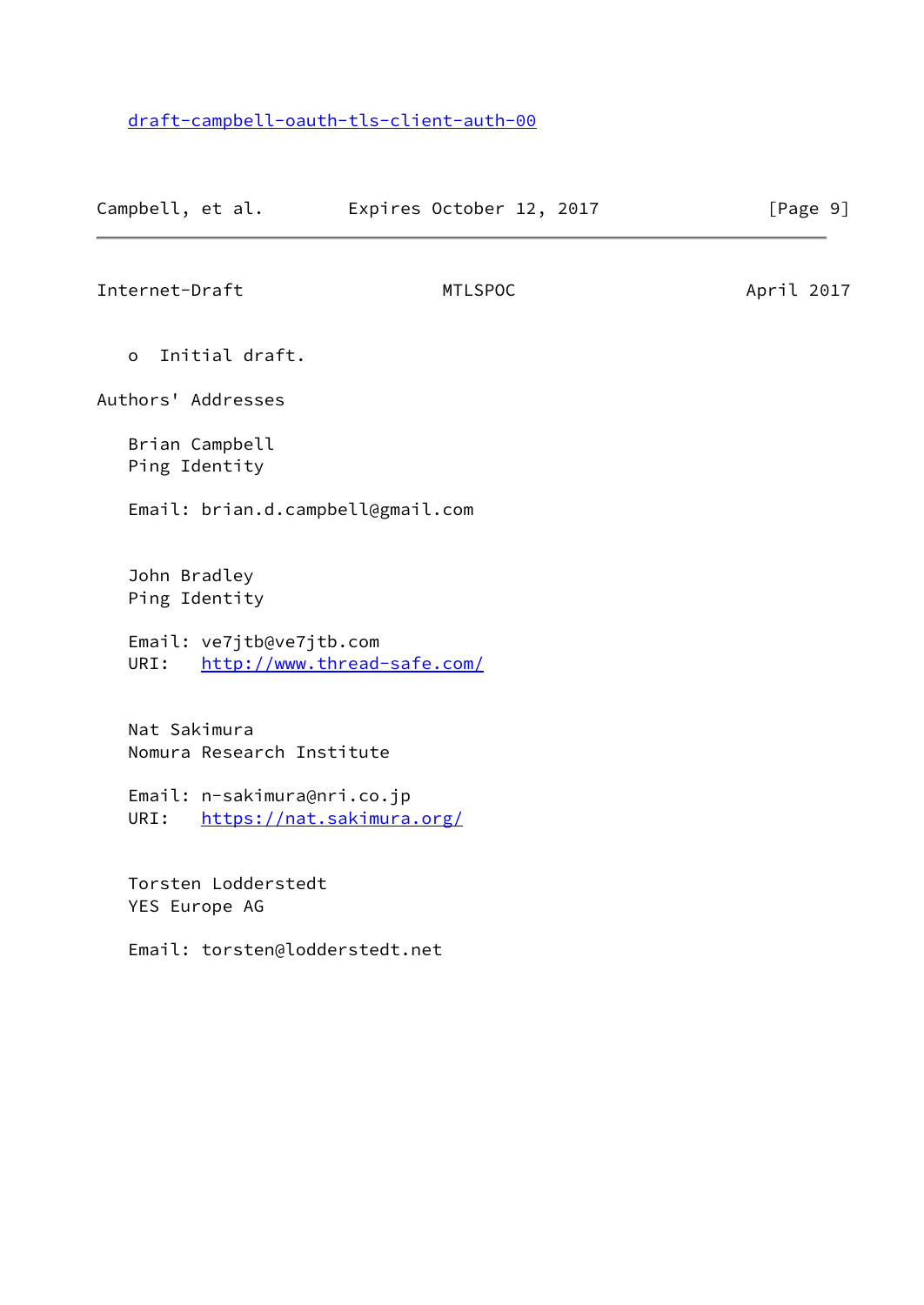# [draft-campbell-oauth-tls-client-auth-00](https://datatracker.ietf.org/doc/pdf/draft-campbell-oauth-tls-client-auth-00)

<span id="page-10-0"></span>

| Campbell, et al.                          | Expires October 12, 2017          | [Page 9]   |
|-------------------------------------------|-----------------------------------|------------|
| Internet-Draft                            | <b>MTLSPOC</b>                    | April 2017 |
| Initial draft.<br>$\Omega$                |                                   |            |
| Authors' Addresses                        |                                   |            |
| Brian Campbell<br>Ping Identity           |                                   |            |
|                                           | Email: brian.d.campbell@gmail.com |            |
| John Bradley<br>Ping Identity             |                                   |            |
| Email: ve7jtb@ve7jtb.com<br>URI:          | http://www.thread-safe.com/       |            |
| Nat Sakimura<br>Nomura Research Institute |                                   |            |
| Email: n-sakimura@nri.co.jp<br>URI:       | https://nat.sakimura.org/         |            |
| Torsten Lodderstedt<br>YES Europe AG      |                                   |            |
| Email: torsten@lodderstedt.net            |                                   |            |